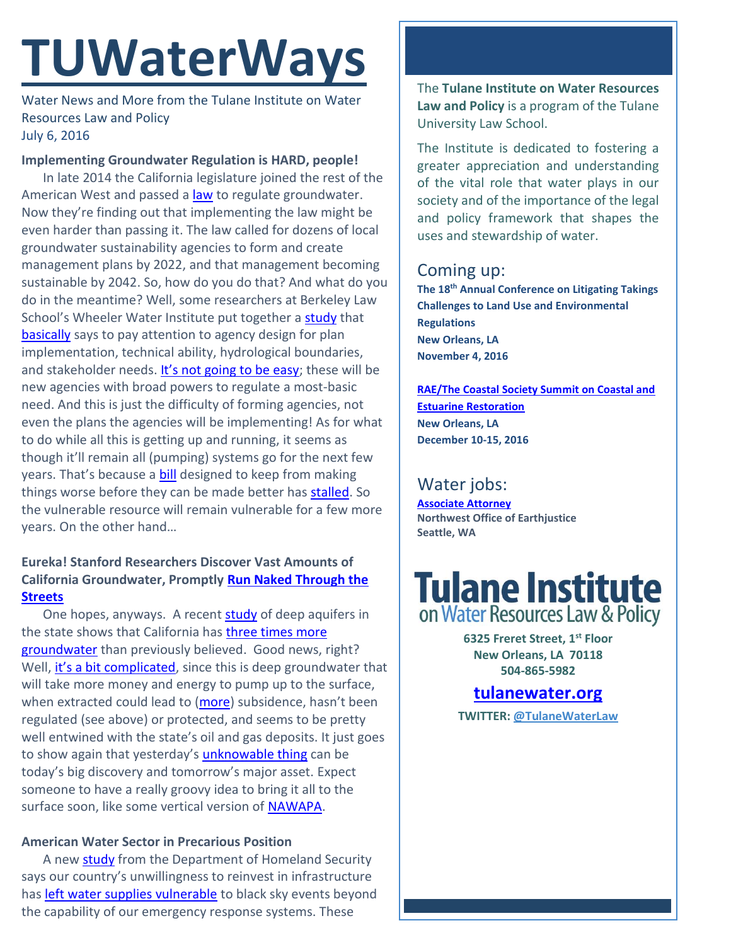# **TUWaterWays**

Water News and More from the Tulane Institute on Water Resources Law and Policy July 6, 2016

#### **Implementing Groundwater Regulation is HARD, people!**

In late 2014 the California legislature joined the rest of the American West and passed a **law** to regulate groundwater. Now they're finding out that implementing the law might be even harder than passing it. The law called for dozens of local groundwater sustainability agencies to form and create management plans by 2022, and that management becoming sustainable by 2042. So, how do you do that? And what do you do in the meantime? Well, some researchers at Berkeley Law School's Wheeler Water Institute put together a [study](https://www.law.berkeley.edu/wp-content/uploads/2016/02/CLEE_GroundwaterGovernance_2016-03-08.pdf) that [basically](https://www.newsdeeply.com/water/op-eds/2016/06/08/how-to-create-effective-groundwater-agencies) says to pay attention to agency design for plan implementation, technical ability, hydrological boundaries, and stakeholder needs. [It's not going to be easy](http://www.kpbs.org/news/2016/jun/21/no-easy-path-implementing-california-groundwater-l/); these will be new agencies with broad powers to regulate a most-basic need. And this is just the difficulty of forming agencies, not even the plans the agencies will be implementing! As for what to do while all this is getting up and running, it seems as though it'll remain all (pumping) systems go for the next few years. That's because a [bill](https://leginfo.legislature.ca.gov/faces/billNavClient.xhtml?bill_id=201520160SB1317) designed to keep from making things worse before they can be made better has [stalled.](http://www.fresnobee.com/opinion/editorials/article87237437.html) So the vulnerable resource will remain vulnerable for a few more years. On the other hand…

### **Eureka! Stanford Researchers Discover Vast Amounts of California Groundwater, Promptly [Run Naked Through the](http://archimedespalimpsest.org/images/kaltoon/page-4.jpg)  [Streets](http://archimedespalimpsest.org/images/kaltoon/page-4.jpg)**

One hopes, anyways. A recent [study](https://woods.stanford.edu/sites/default/files/JacksonKang-DeepGroundwaterBrief-2016FINAL.pdf) of deep aquifers in the state shows that California has three times more [groundwater](http://news.stanford.edu/2016/06/27/stanford-scientists-find-water-windfall-beneath-californias-central-valley/) than previously believed. Good news, right? Well, [it's a bit complicated](http://www.sciencemag.org/news/2016/06/first-study-california-s-deep-groundwater-sparks-debate), since this is deep groundwater that will take more money and energy to pump up to the surface, when extracted could lead to [\(more\)](http://www.sacbee.com/news/state/california/water-and-drought/article31527953.html) subsidence, hasn't been regulated (see above) or protected, and seems to be pretty well entwined with the state's oil and gas deposits. It just goes to show again that yesterday's *[unknowable thing](https://iopscience.iop.org/article/10.1088/1748-9326/4/3/035002/pdf;jsessionid=956712D246B9178E4E8EB364850A1941.c5.iopscience.cld.iop.org) can be* today's big discovery and tomorrow's major asset. Expect someone to have a really groovy idea to bring it all to the surface soon, like some vertical version of **NAWAPA**.

### **American Water Sector in Precarious Position**

A new [study](https://www.dhs.gov/sites/default/files/publications/niac-water-resilience-study-draft-06-09-16-508.pdf) from the Department of Homeland Security says our country's unwillingness to reinvest in infrastructure has [left water supplies vulnerable](http://www.circleofblue.org/2016/world/u-s-water-utilities-not-prepared-catastrophe/) to black sky events beyond the capability of our emergency response systems. These

The **Tulane Institute on Water Resources Law and Policy** is a program of the Tulane University Law School.

The Institute is dedicated to fostering a greater appreciation and understanding of the vital role that water plays in our society and of the importance of the legal and policy framework that shapes the uses and stewardship of water.

## Coming up:

**The 18th Annual Conference on Litigating Takings Challenges to Land Use and Environmental Regulations New Orleans, LA November 4, 2016**

**[RAE/The Coastal Society Summit on Coastal and](https://www.estuaries.org/images/NOLA_2016/2016-Summit-CFP_FINAL-011516.pdf)  [Estuarine Restoration](https://www.estuaries.org/images/NOLA_2016/2016-Summit-CFP_FINAL-011516.pdf) New Orleans, LA December 10-15, 2016**

# Water jobs:

**[Associate Attorney](http://tulanewater.us11.list-manage1.com/track/click?u=b87c517a041f161e5ba9b4abd&id=93be59c274&e=1061668570) Northwest Office of Earthjustice Seattle, WA**

# **Tulane Institute**<br>on Water Resources Law & Policy

**6325 Freret Street, 1st Floor New Orleans, LA 70118 504-865-5982** 

## **[tulanewater.org](file:///C:/Users/waterlaw/Downloads/tulanewater.org)**

**TWITTER: [@TulaneWaterLaw](http://www.twitter.com/TulaneWaterLaw)**